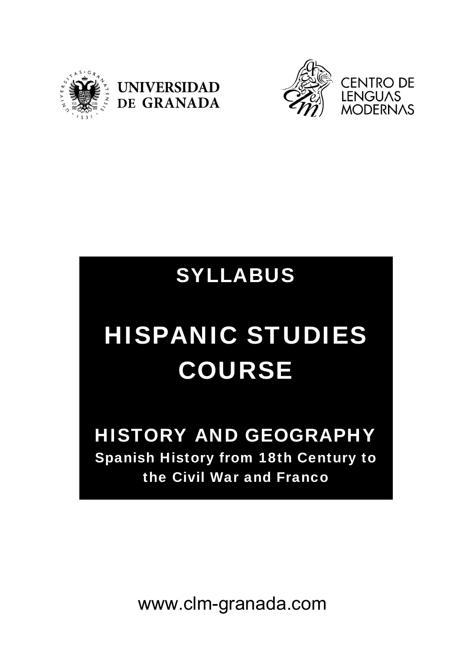





# SYLLABUS

# HISPANIC STUDIES COURSE

HISTORY AND GEOGRAPHY Spanish History from 18th Century to the Civil War and Franco

www.clm-granada.com